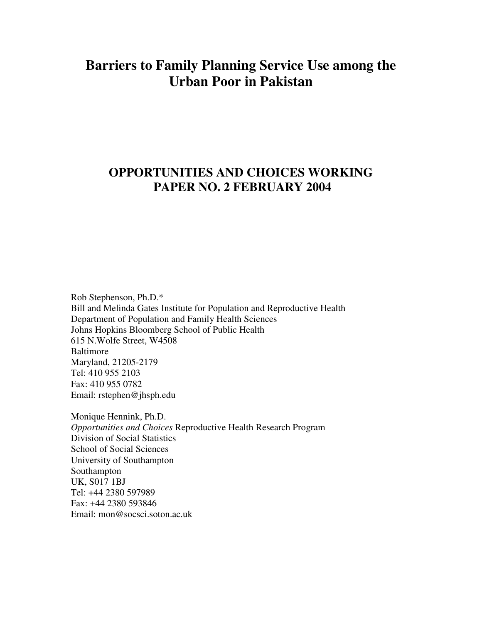# **Barriers to Family Planning Service Use among the Urban Poor in Pakistan**

# **OPPORTUNITIES AND CHOICES WORKING PAPER NO. 2 FEBRUARY 2004**

Rob Stephenson, Ph.D.\* Bill and Melinda Gates Institute for Population and Reproductive Health Department of Population and Family Health Sciences Johns Hopkins Bloomberg School of Public Health 615 N.Wolfe Street, W4508 Baltimore Maryland, 21205-2179 Tel: 410 955 2103 Fax: 410 955 0782 Email: rstephen@jhsph.edu

Monique Hennink, Ph.D. *Opportunities and Choices* Reproductive Health Research Program Division of Social Statistics School of Social Sciences University of Southampton Southampton UK, S017 1BJ Tel: +44 2380 597989 Fax: +44 2380 593846 Email: mon@socsci.soton.ac.uk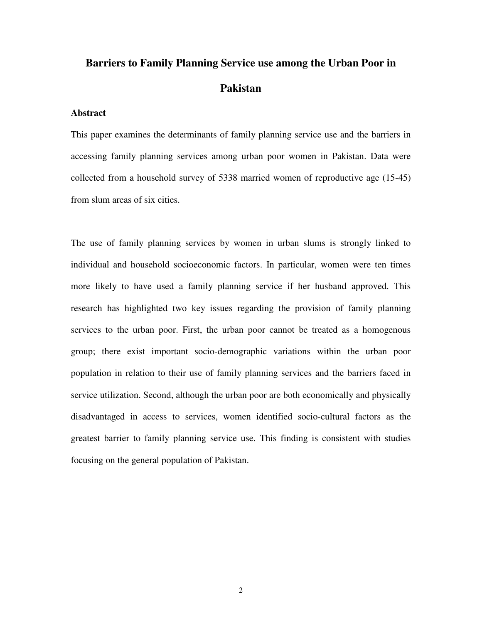# **Barriers to Family Planning Service use among the Urban Poor in Pakistan**

## **Abstract**

This paper examines the determinants of family planning service use and the barriers in accessing family planning services among urban poor women in Pakistan. Data were collected from a household survey of 5338 married women of reproductive age (15-45) from slum areas of six cities.

The use of family planning services by women in urban slums is strongly linked to individual and household socioeconomic factors. In particular, women were ten times more likely to have used a family planning service if her husband approved. This research has highlighted two key issues regarding the provision of family planning services to the urban poor. First, the urban poor cannot be treated as a homogenous group; there exist important socio-demographic variations within the urban poor population in relation to their use of family planning services and the barriers faced in service utilization. Second, although the urban poor are both economically and physically disadvantaged in access to services, women identified socio-cultural factors as the greatest barrier to family planning service use. This finding is consistent with studies focusing on the general population of Pakistan.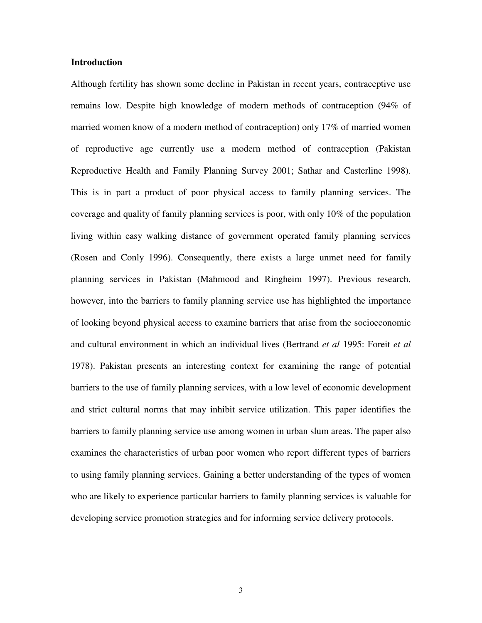#### **Introduction**

Although fertility has shown some decline in Pakistan in recent years, contraceptive use remains low. Despite high knowledge of modern methods of contraception (94% of married women know of a modern method of contraception) only 17% of married women of reproductive age currently use a modern method of contraception (Pakistan Reproductive Health and Family Planning Survey 2001; Sathar and Casterline 1998). This is in part a product of poor physical access to family planning services. The coverage and quality of family planning services is poor, with only 10% of the population living within easy walking distance of government operated family planning services (Rosen and Conly 1996). Consequently, there exists a large unmet need for family planning services in Pakistan (Mahmood and Ringheim 1997). Previous research, however, into the barriers to family planning service use has highlighted the importance of looking beyond physical access to examine barriers that arise from the socioeconomic and cultural environment in which an individual lives (Bertrand *et al* 1995: Foreit *et al* 1978). Pakistan presents an interesting context for examining the range of potential barriers to the use of family planning services, with a low level of economic development and strict cultural norms that may inhibit service utilization. This paper identifies the barriers to family planning service use among women in urban slum areas. The paper also examines the characteristics of urban poor women who report different types of barriers to using family planning services. Gaining a better understanding of the types of women who are likely to experience particular barriers to family planning services is valuable for developing service promotion strategies and for informing service delivery protocols.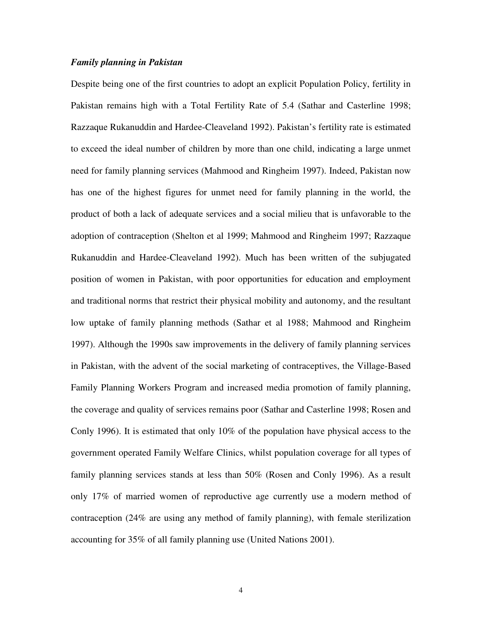### *Family planning in Pakistan*

Despite being one of the first countries to adopt an explicit Population Policy, fertility in Pakistan remains high with a Total Fertility Rate of 5.4 (Sathar and Casterline 1998; Razzaque Rukanuddin and Hardee-Cleaveland 1992). Pakistan's fertility rate is estimated to exceed the ideal number of children by more than one child, indicating a large unmet need for family planning services (Mahmood and Ringheim 1997). Indeed, Pakistan now has one of the highest figures for unmet need for family planning in the world, the product of both a lack of adequate services and a social milieu that is unfavorable to the adoption of contraception (Shelton et al 1999; Mahmood and Ringheim 1997; Razzaque Rukanuddin and Hardee-Cleaveland 1992). Much has been written of the subjugated position of women in Pakistan, with poor opportunities for education and employment and traditional norms that restrict their physical mobility and autonomy, and the resultant low uptake of family planning methods (Sathar et al 1988; Mahmood and Ringheim 1997). Although the 1990s saw improvements in the delivery of family planning services in Pakistan, with the advent of the social marketing of contraceptives, the Village-Based Family Planning Workers Program and increased media promotion of family planning, the coverage and quality of services remains poor (Sathar and Casterline 1998; Rosen and Conly 1996). It is estimated that only 10% of the population have physical access to the government operated Family Welfare Clinics, whilst population coverage for all types of family planning services stands at less than 50% (Rosen and Conly 1996). As a result only 17% of married women of reproductive age currently use a modern method of contraception (24% are using any method of family planning), with female sterilization accounting for 35% of all family planning use (United Nations 2001).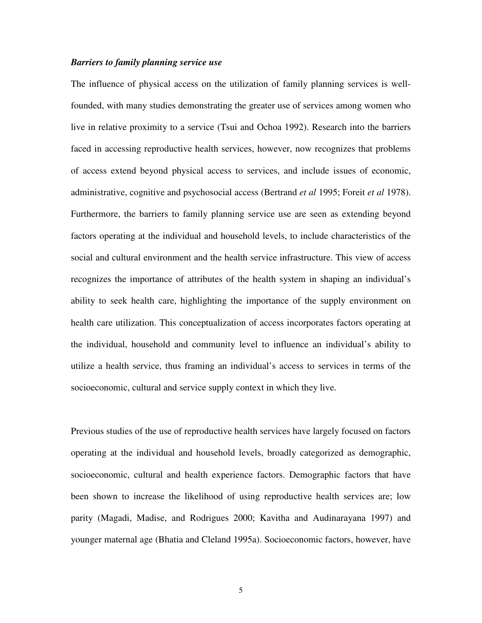## *Barriers to family planning service use*

The influence of physical access on the utilization of family planning services is wellfounded, with many studies demonstrating the greater use of services among women who live in relative proximity to a service (Tsui and Ochoa 1992). Research into the barriers faced in accessing reproductive health services, however, now recognizes that problems of access extend beyond physical access to services, and include issues of economic, administrative, cognitive and psychosocial access (Bertrand *et al* 1995; Foreit *et al* 1978). Furthermore, the barriers to family planning service use are seen as extending beyond factors operating at the individual and household levels, to include characteristics of the social and cultural environment and the health service infrastructure. This view of access recognizes the importance of attributes of the health system in shaping an individual's ability to seek health care, highlighting the importance of the supply environment on health care utilization. This conceptualization of access incorporates factors operating at the individual, household and community level to influence an individual's ability to utilize a health service, thus framing an individual's access to services in terms of the socioeconomic, cultural and service supply context in which they live.

Previous studies of the use of reproductive health services have largely focused on factors operating at the individual and household levels, broadly categorized as demographic, socioeconomic, cultural and health experience factors. Demographic factors that have been shown to increase the likelihood of using reproductive health services are; low parity (Magadi, Madise, and Rodrigues 2000; Kavitha and Audinarayana 1997) and younger maternal age (Bhatia and Cleland 1995a). Socioeconomic factors, however, have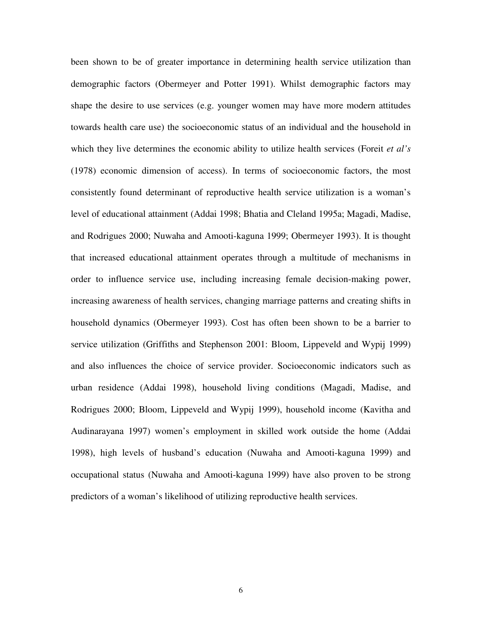been shown to be of greater importance in determining health service utilization than demographic factors (Obermeyer and Potter 1991). Whilst demographic factors may shape the desire to use services (e.g. younger women may have more modern attitudes towards health care use) the socioeconomic status of an individual and the household in which they live determines the economic ability to utilize health services (Foreit *et al's* (1978) economic dimension of access). In terms of socioeconomic factors, the most consistently found determinant of reproductive health service utilization is a woman's level of educational attainment (Addai 1998; Bhatia and Cleland 1995a; Magadi, Madise, and Rodrigues 2000; Nuwaha and Amooti-kaguna 1999; Obermeyer 1993). It is thought that increased educational attainment operates through a multitude of mechanisms in order to influence service use, including increasing female decision-making power, increasing awareness of health services, changing marriage patterns and creating shifts in household dynamics (Obermeyer 1993). Cost has often been shown to be a barrier to service utilization (Griffiths and Stephenson 2001: Bloom, Lippeveld and Wypij 1999) and also influences the choice of service provider. Socioeconomic indicators such as urban residence (Addai 1998), household living conditions (Magadi, Madise, and Rodrigues 2000; Bloom, Lippeveld and Wypij 1999), household income (Kavitha and Audinarayana 1997) women's employment in skilled work outside the home (Addai 1998), high levels of husband's education (Nuwaha and Amooti-kaguna 1999) and occupational status (Nuwaha and Amooti-kaguna 1999) have also proven to be strong predictors of a woman's likelihood of utilizing reproductive health services.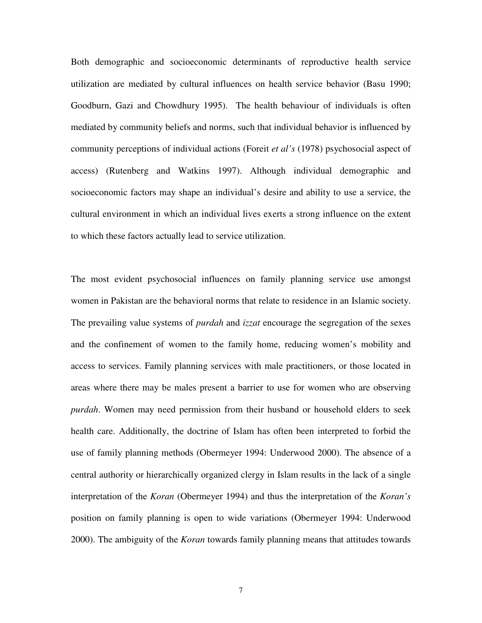Both demographic and socioeconomic determinants of reproductive health service utilization are mediated by cultural influences on health service behavior (Basu 1990; Goodburn, Gazi and Chowdhury 1995). The health behaviour of individuals is often mediated by community beliefs and norms, such that individual behavior is influenced by community perceptions of individual actions (Foreit *et al's* (1978) psychosocial aspect of access) (Rutenberg and Watkins 1997). Although individual demographic and socioeconomic factors may shape an individual's desire and ability to use a service, the cultural environment in which an individual lives exerts a strong influence on the extent to which these factors actually lead to service utilization.

The most evident psychosocial influences on family planning service use amongst women in Pakistan are the behavioral norms that relate to residence in an Islamic society. The prevailing value systems of *purdah* and *izzat* encourage the segregation of the sexes and the confinement of women to the family home, reducing women's mobility and access to services. Family planning services with male practitioners, or those located in areas where there may be males present a barrier to use for women who are observing *purdah*. Women may need permission from their husband or household elders to seek health care. Additionally, the doctrine of Islam has often been interpreted to forbid the use of family planning methods (Obermeyer 1994: Underwood 2000). The absence of a central authority or hierarchically organized clergy in Islam results in the lack of a single interpretation of the *Koran* (Obermeyer 1994) and thus the interpretation of the *Koran's* position on family planning is open to wide variations (Obermeyer 1994: Underwood 2000). The ambiguity of the *Koran* towards family planning means that attitudes towards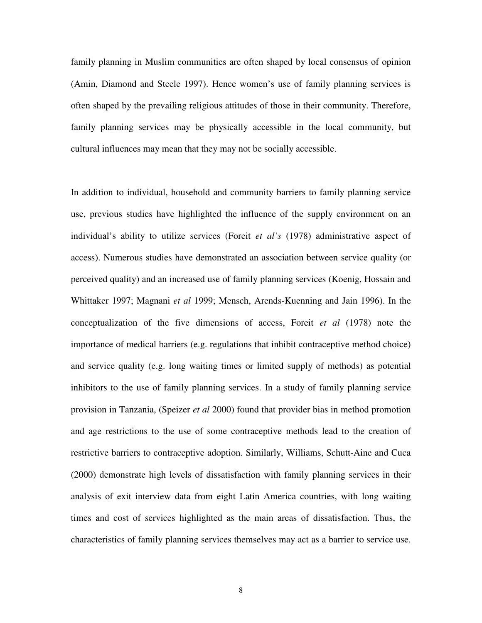family planning in Muslim communities are often shaped by local consensus of opinion (Amin, Diamond and Steele 1997). Hence women's use of family planning services is often shaped by the prevailing religious attitudes of those in their community. Therefore, family planning services may be physically accessible in the local community, but cultural influences may mean that they may not be socially accessible.

In addition to individual, household and community barriers to family planning service use, previous studies have highlighted the influence of the supply environment on an individual's ability to utilize services (Foreit *et al's* (1978) administrative aspect of access). Numerous studies have demonstrated an association between service quality (or perceived quality) and an increased use of family planning services (Koenig, Hossain and Whittaker 1997; Magnani *et al* 1999; Mensch, Arends-Kuenning and Jain 1996). In the conceptualization of the five dimensions of access, Foreit *et al* (1978) note the importance of medical barriers (e.g. regulations that inhibit contraceptive method choice) and service quality (e.g. long waiting times or limited supply of methods) as potential inhibitors to the use of family planning services. In a study of family planning service provision in Tanzania, (Speizer *et al* 2000) found that provider bias in method promotion and age restrictions to the use of some contraceptive methods lead to the creation of restrictive barriers to contraceptive adoption. Similarly, Williams, Schutt-Aine and Cuca (2000) demonstrate high levels of dissatisfaction with family planning services in their analysis of exit interview data from eight Latin America countries, with long waiting times and cost of services highlighted as the main areas of dissatisfaction. Thus, the characteristics of family planning services themselves may act as a barrier to service use.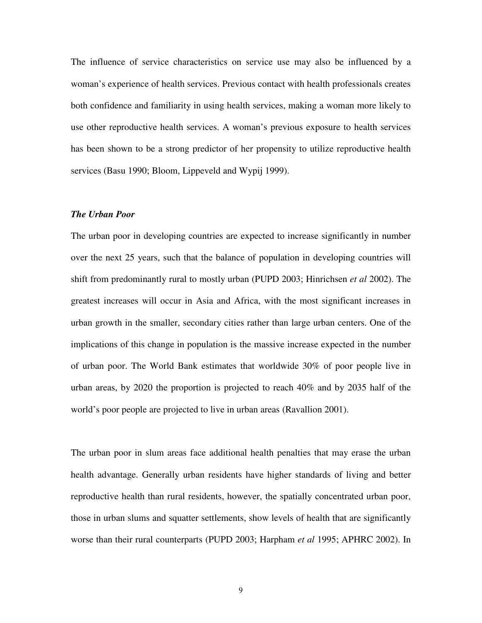The influence of service characteristics on service use may also be influenced by a woman's experience of health services. Previous contact with health professionals creates both confidence and familiarity in using health services, making a woman more likely to use other reproductive health services. A woman's previous exposure to health services has been shown to be a strong predictor of her propensity to utilize reproductive health services (Basu 1990; Bloom, Lippeveld and Wypij 1999).

#### *The Urban Poor*

The urban poor in developing countries are expected to increase significantly in number over the next 25 years, such that the balance of population in developing countries will shift from predominantly rural to mostly urban (PUPD 2003; Hinrichsen *et al* 2002). The greatest increases will occur in Asia and Africa, with the most significant increases in urban growth in the smaller, secondary cities rather than large urban centers. One of the implications of this change in population is the massive increase expected in the number of urban poor. The World Bank estimates that worldwide 30% of poor people live in urban areas, by 2020 the proportion is projected to reach 40% and by 2035 half of the world's poor people are projected to live in urban areas (Ravallion 2001).

The urban poor in slum areas face additional health penalties that may erase the urban health advantage. Generally urban residents have higher standards of living and better reproductive health than rural residents, however, the spatially concentrated urban poor, those in urban slums and squatter settlements, show levels of health that are significantly worse than their rural counterparts (PUPD 2003; Harpham *et al* 1995; APHRC 2002). In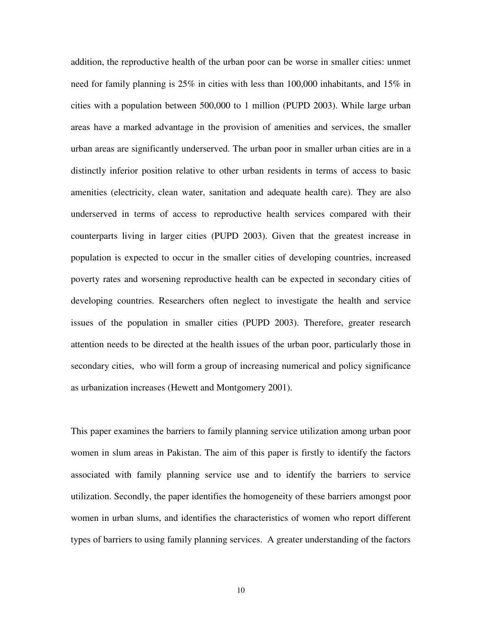addition, the reproductive health of the urban poor can be worse in smaller cities: unmet need for family planning is 25% in cities with less than 100,000 inhabitants, and 15% in cities with a population between 500,000 to 1 million (PUPD 2003). While large urban areas have a marked advantage in the provision of amenities and services, the smaller urban areas are significantly underserved. The urban poor in smaller urban cities are in a distinctly inferior position relative to other urban residents in terms of access to basic amenities (electricity, clean water, sanitation and adequate health care). They are also underserved in terms of access to reproductive health services compared with their counterparts living in larger cities (PUPD 2003). Given that the greatest increase in population is expected to occur in the smaller cities of developing countries, increased poverty rates and worsening reproductive health can be expected in secondary cities of developing countries. Researchers often neglect to investigate the health and service issues of the population in smaller cities (PUPD 2003). Therefore, greater research attention needs to be directed at the health issues of the urban poor, particularly those in secondary cities, who will form a group of increasing numerical and policy significance as urbanization increases (Hewett and Montgomery 2001).

This paper examines the barriers to family planning service utilization among urban poor women in slum areas in Pakistan. The aim of this paper is firstly to identify the factors associated with family planning service use and to identify the barriers to service utilization. Secondly, the paper identifies the homogeneity of these barriers amongst poor women in urban slums, and identifies the characteristics of women who report different types of barriers to using family planning services. A greater understanding of the factors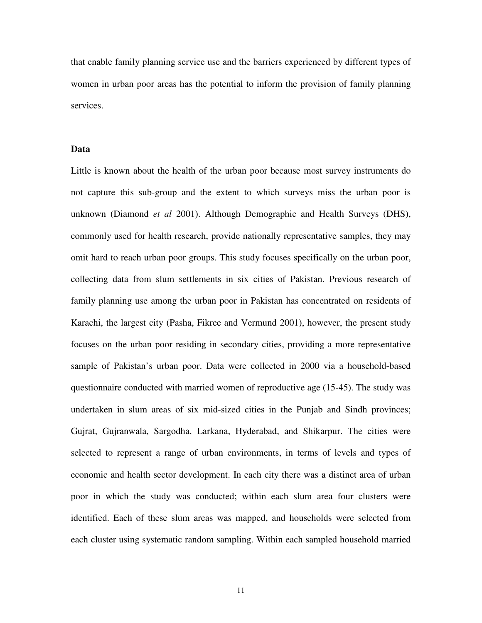that enable family planning service use and the barriers experienced by different types of women in urban poor areas has the potential to inform the provision of family planning services.

#### **Data**

Little is known about the health of the urban poor because most survey instruments do not capture this sub-group and the extent to which surveys miss the urban poor is unknown (Diamond *et al* 2001). Although Demographic and Health Surveys (DHS), commonly used for health research, provide nationally representative samples, they may omit hard to reach urban poor groups. This study focuses specifically on the urban poor, collecting data from slum settlements in six cities of Pakistan. Previous research of family planning use among the urban poor in Pakistan has concentrated on residents of Karachi, the largest city (Pasha, Fikree and Vermund 2001), however, the present study focuses on the urban poor residing in secondary cities, providing a more representative sample of Pakistan's urban poor. Data were collected in 2000 via a household-based questionnaire conducted with married women of reproductive age (15-45). The study was undertaken in slum areas of six mid-sized cities in the Punjab and Sindh provinces; Gujrat, Gujranwala, Sargodha, Larkana, Hyderabad, and Shikarpur. The cities were selected to represent a range of urban environments, in terms of levels and types of economic and health sector development. In each city there was a distinct area of urban poor in which the study was conducted; within each slum area four clusters were identified. Each of these slum areas was mapped, and households were selected from each cluster using systematic random sampling. Within each sampled household married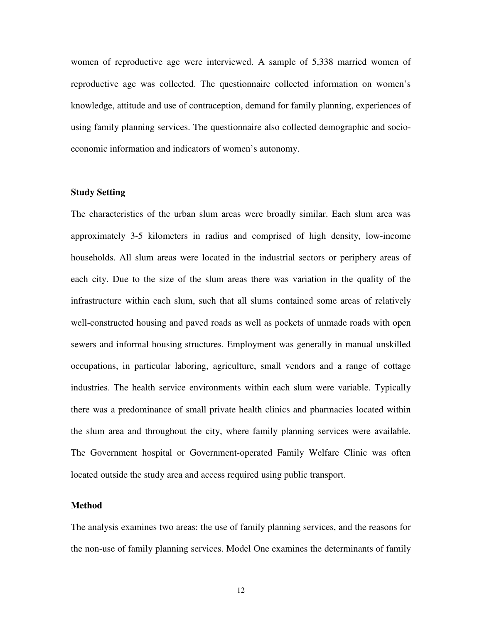women of reproductive age were interviewed. A sample of 5,338 married women of reproductive age was collected. The questionnaire collected information on women's knowledge, attitude and use of contraception, demand for family planning, experiences of using family planning services. The questionnaire also collected demographic and socioeconomic information and indicators of women's autonomy.

#### **Study Setting**

The characteristics of the urban slum areas were broadly similar. Each slum area was approximately 3-5 kilometers in radius and comprised of high density, low-income households. All slum areas were located in the industrial sectors or periphery areas of each city. Due to the size of the slum areas there was variation in the quality of the infrastructure within each slum, such that all slums contained some areas of relatively well-constructed housing and paved roads as well as pockets of unmade roads with open sewers and informal housing structures. Employment was generally in manual unskilled occupations, in particular laboring, agriculture, small vendors and a range of cottage industries. The health service environments within each slum were variable. Typically there was a predominance of small private health clinics and pharmacies located within the slum area and throughout the city, where family planning services were available. The Government hospital or Government-operated Family Welfare Clinic was often located outside the study area and access required using public transport.

#### **Method**

The analysis examines two areas: the use of family planning services, and the reasons for the non-use of family planning services. Model One examines the determinants of family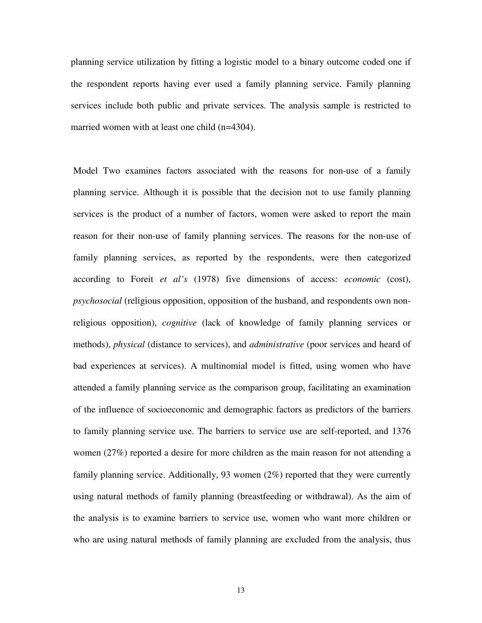planning service utilization by fitting a logistic model to a binary outcome coded one if the respondent reports having ever used a family planning service. Family planning services include both public and private services. The analysis sample is restricted to married women with at least one child (n=4304).

Model Two examines factors associated with the reasons for non-use of a family planning service. Although it is possible that the decision not to use family planning services is the product of a number of factors, women were asked to report the main reason for their non-use of family planning services. The reasons for the non-use of family planning services, as reported by the respondents, were then categorized according to Foreit *et al's* (1978) five dimensions of access: *economic* (cost), *psychosocial* (religious opposition, opposition of the husband, and respondents own nonreligious opposition), *cognitive* (lack of knowledge of family planning services or methods), *physical* (distance to services), and *administrative* (poor services and heard of bad experiences at services). A multinomial model is fitted, using women who have attended a family planning service as the comparison group, facilitating an examination of the influence of socioeconomic and demographic factors as predictors of the barriers to family planning service use. The barriers to service use are self-reported, and 1376 women (27%) reported a desire for more children as the main reason for not attending a family planning service. Additionally, 93 women (2%) reported that they were currently using natural methods of family planning (breastfeeding or withdrawal). As the aim of the analysis is to examine barriers to service use, women who want more children or who are using natural methods of family planning are excluded from the analysis, thus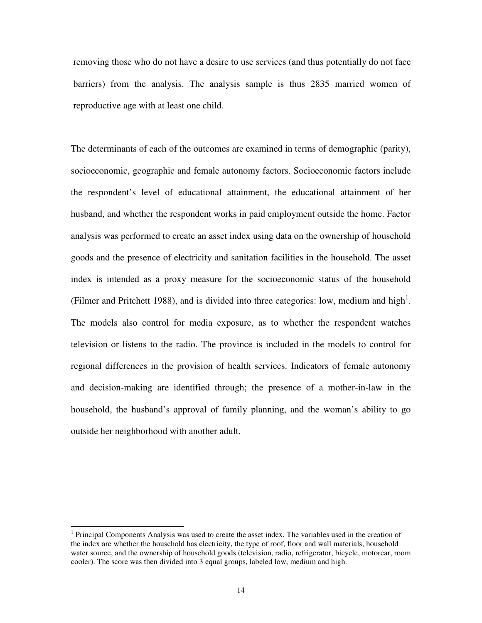removing those who do not have a desire to use services (and thus potentially do not face barriers) from the analysis. The analysis sample is thus 2835 married women of reproductive age with at least one child.

The determinants of each of the outcomes are examined in terms of demographic (parity), socioeconomic, geographic and female autonomy factors. Socioeconomic factors include the respondent's level of educational attainment, the educational attainment of her husband, and whether the respondent works in paid employment outside the home. Factor analysis was performed to create an asset index using data on the ownership of household goods and the presence of electricity and sanitation facilities in the household. The asset index is intended as a proxy measure for the socioeconomic status of the household (Filmer and Pritchett 1988), and is divided into three categories: low, medium and high<sup>1</sup>. The models also control for media exposure, as to whether the respondent watches television or listens to the radio. The province is included in the models to control for regional differences in the provision of health services. Indicators of female autonomy and decision-making are identified through; the presence of a mother-in-law in the household, the husband's approval of family planning, and the woman's ability to go outside her neighborhood with another adult.

<sup>&</sup>lt;sup>1</sup> Principal Components Analysis was used to create the asset index. The variables used in the creation of the index are whether the household has electricity, the type of roof, floor and wall materials, household water source, and the ownership of household goods (television, radio, refrigerator, bicycle, motorcar, room cooler). The score was then divided into 3 equal groups, labeled low, medium and high.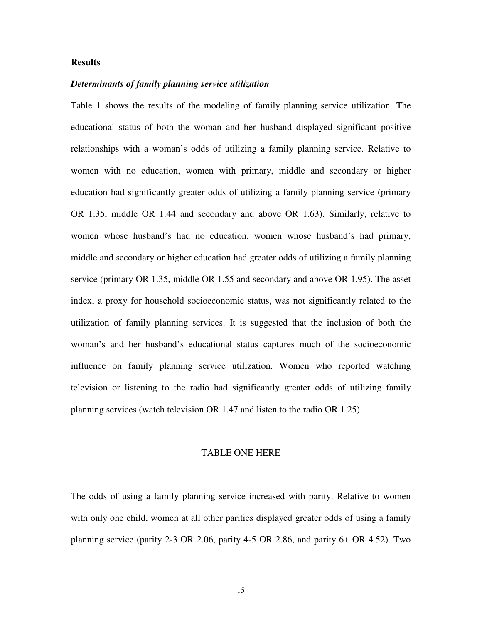#### **Results**

## *Determinants of family planning service utilization*

Table 1 shows the results of the modeling of family planning service utilization. The educational status of both the woman and her husband displayed significant positive relationships with a woman's odds of utilizing a family planning service. Relative to women with no education, women with primary, middle and secondary or higher education had significantly greater odds of utilizing a family planning service (primary OR 1.35, middle OR 1.44 and secondary and above OR 1.63). Similarly, relative to women whose husband's had no education, women whose husband's had primary, middle and secondary or higher education had greater odds of utilizing a family planning service (primary OR 1.35, middle OR 1.55 and secondary and above OR 1.95). The asset index, a proxy for household socioeconomic status, was not significantly related to the utilization of family planning services. It is suggested that the inclusion of both the woman's and her husband's educational status captures much of the socioeconomic influence on family planning service utilization. Women who reported watching television or listening to the radio had significantly greater odds of utilizing family planning services (watch television OR 1.47 and listen to the radio OR 1.25).

#### TABLE ONE HERE

The odds of using a family planning service increased with parity. Relative to women with only one child, women at all other parities displayed greater odds of using a family planning service (parity 2-3 OR 2.06, parity 4-5 OR 2.86, and parity 6+ OR 4.52). Two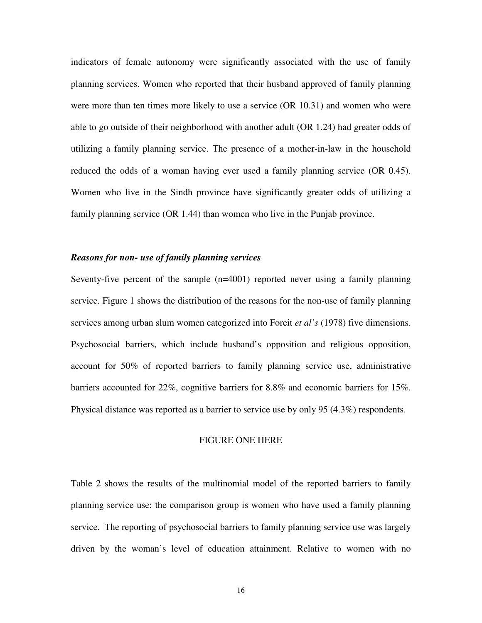indicators of female autonomy were significantly associated with the use of family planning services. Women who reported that their husband approved of family planning were more than ten times more likely to use a service (OR 10.31) and women who were able to go outside of their neighborhood with another adult (OR 1.24) had greater odds of utilizing a family planning service. The presence of a mother-in-law in the household reduced the odds of a woman having ever used a family planning service (OR 0.45). Women who live in the Sindh province have significantly greater odds of utilizing a family planning service (OR 1.44) than women who live in the Punjab province.

## *Reasons for non- use of family planning services*

Seventy-five percent of the sample (n=4001) reported never using a family planning service. Figure 1 shows the distribution of the reasons for the non-use of family planning services among urban slum women categorized into Foreit *et al's* (1978) five dimensions. Psychosocial barriers, which include husband's opposition and religious opposition, account for 50% of reported barriers to family planning service use, administrative barriers accounted for 22%, cognitive barriers for 8.8% and economic barriers for 15%. Physical distance was reported as a barrier to service use by only 95 (4.3%) respondents.

#### FIGURE ONE HERE

Table 2 shows the results of the multinomial model of the reported barriers to family planning service use: the comparison group is women who have used a family planning service. The reporting of psychosocial barriers to family planning service use was largely driven by the woman's level of education attainment. Relative to women with no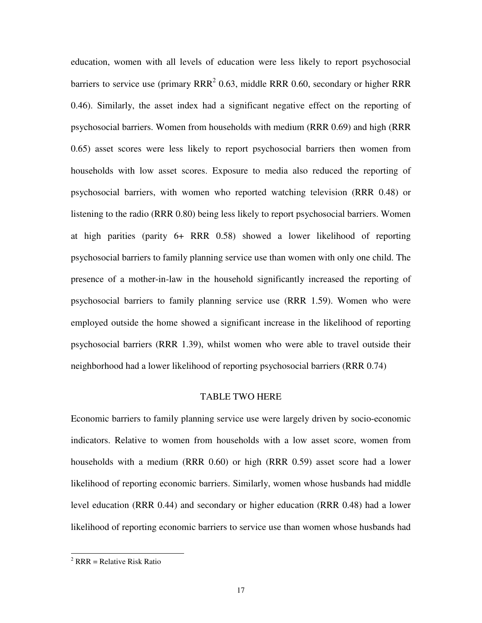education, women with all levels of education were less likely to report psychosocial barriers to service use (primary  $RRR<sup>2</sup>$  0.63, middle RRR 0.60, secondary or higher RRR 0.46). Similarly, the asset index had a significant negative effect on the reporting of psychosocial barriers. Women from households with medium (RRR 0.69) and high (RRR 0.65) asset scores were less likely to report psychosocial barriers then women from households with low asset scores. Exposure to media also reduced the reporting of psychosocial barriers, with women who reported watching television (RRR 0.48) or listening to the radio (RRR 0.80) being less likely to report psychosocial barriers. Women at high parities (parity 6+ RRR 0.58) showed a lower likelihood of reporting psychosocial barriers to family planning service use than women with only one child. The presence of a mother-in-law in the household significantly increased the reporting of psychosocial barriers to family planning service use (RRR 1.59). Women who were employed outside the home showed a significant increase in the likelihood of reporting psychosocial barriers (RRR 1.39), whilst women who were able to travel outside their neighborhood had a lower likelihood of reporting psychosocial barriers (RRR 0.74)

#### TABLE TWO HERE

Economic barriers to family planning service use were largely driven by socio-economic indicators. Relative to women from households with a low asset score, women from households with a medium (RRR 0.60) or high (RRR 0.59) asset score had a lower likelihood of reporting economic barriers. Similarly, women whose husbands had middle level education (RRR 0.44) and secondary or higher education (RRR 0.48) had a lower likelihood of reporting economic barriers to service use than women whose husbands had

 $2$  RRR = Relative Risk Ratio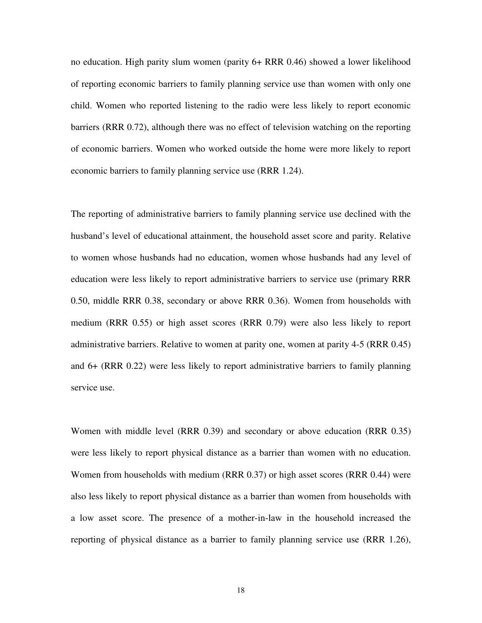no education. High parity slum women (parity 6+ RRR 0.46) showed a lower likelihood of reporting economic barriers to family planning service use than women with only one child. Women who reported listening to the radio were less likely to report economic barriers (RRR 0.72), although there was no effect of television watching on the reporting of economic barriers. Women who worked outside the home were more likely to report economic barriers to family planning service use (RRR 1.24).

The reporting of administrative barriers to family planning service use declined with the husband's level of educational attainment, the household asset score and parity. Relative to women whose husbands had no education, women whose husbands had any level of education were less likely to report administrative barriers to service use (primary RRR 0.50, middle RRR 0.38, secondary or above RRR 0.36). Women from households with medium (RRR 0.55) or high asset scores (RRR 0.79) were also less likely to report administrative barriers. Relative to women at parity one, women at parity 4-5 (RRR 0.45) and 6+ (RRR 0.22) were less likely to report administrative barriers to family planning service use.

Women with middle level (RRR 0.39) and secondary or above education (RRR 0.35) were less likely to report physical distance as a barrier than women with no education. Women from households with medium (RRR 0.37) or high asset scores (RRR 0.44) were also less likely to report physical distance as a barrier than women from households with a low asset score. The presence of a mother-in-law in the household increased the reporting of physical distance as a barrier to family planning service use (RRR 1.26),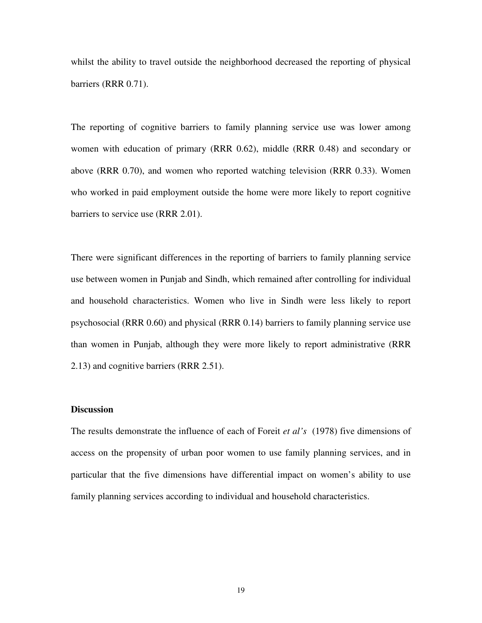whilst the ability to travel outside the neighborhood decreased the reporting of physical barriers (RRR 0.71).

The reporting of cognitive barriers to family planning service use was lower among women with education of primary (RRR 0.62), middle (RRR 0.48) and secondary or above (RRR 0.70), and women who reported watching television (RRR 0.33). Women who worked in paid employment outside the home were more likely to report cognitive barriers to service use (RRR 2.01).

There were significant differences in the reporting of barriers to family planning service use between women in Punjab and Sindh, which remained after controlling for individual and household characteristics. Women who live in Sindh were less likely to report psychosocial (RRR 0.60) and physical (RRR 0.14) barriers to family planning service use than women in Punjab, although they were more likely to report administrative (RRR 2.13) and cognitive barriers (RRR 2.51).

#### **Discussion**

The results demonstrate the influence of each of Foreit *et al's* (1978) five dimensions of access on the propensity of urban poor women to use family planning services, and in particular that the five dimensions have differential impact on women's ability to use family planning services according to individual and household characteristics.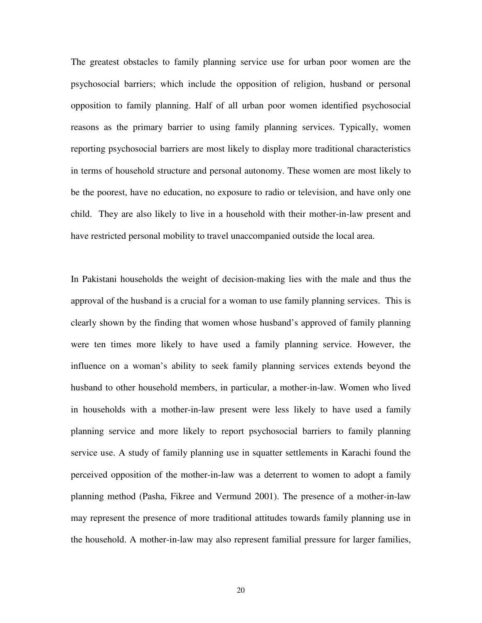The greatest obstacles to family planning service use for urban poor women are the psychosocial barriers; which include the opposition of religion, husband or personal opposition to family planning. Half of all urban poor women identified psychosocial reasons as the primary barrier to using family planning services. Typically, women reporting psychosocial barriers are most likely to display more traditional characteristics in terms of household structure and personal autonomy. These women are most likely to be the poorest, have no education, no exposure to radio or television, and have only one child. They are also likely to live in a household with their mother-in-law present and have restricted personal mobility to travel unaccompanied outside the local area.

In Pakistani households the weight of decision-making lies with the male and thus the approval of the husband is a crucial for a woman to use family planning services. This is clearly shown by the finding that women whose husband's approved of family planning were ten times more likely to have used a family planning service. However, the influence on a woman's ability to seek family planning services extends beyond the husband to other household members, in particular, a mother-in-law. Women who lived in households with a mother-in-law present were less likely to have used a family planning service and more likely to report psychosocial barriers to family planning service use. A study of family planning use in squatter settlements in Karachi found the perceived opposition of the mother-in-law was a deterrent to women to adopt a family planning method (Pasha, Fikree and Vermund 2001). The presence of a mother-in-law may represent the presence of more traditional attitudes towards family planning use in the household. A mother-in-law may also represent familial pressure for larger families,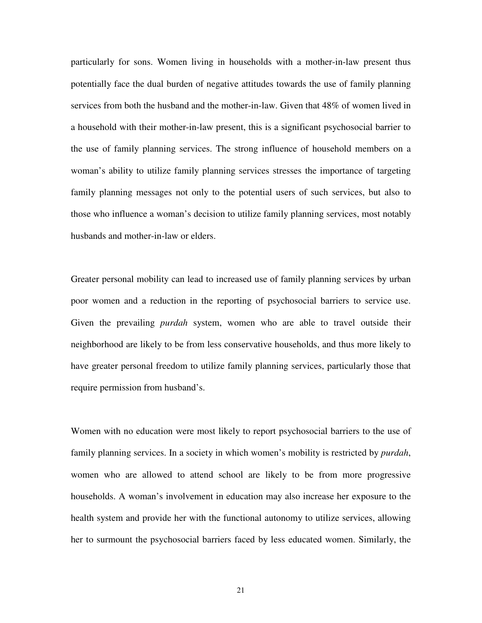particularly for sons. Women living in households with a mother-in-law present thus potentially face the dual burden of negative attitudes towards the use of family planning services from both the husband and the mother-in-law. Given that 48% of women lived in a household with their mother-in-law present, this is a significant psychosocial barrier to the use of family planning services. The strong influence of household members on a woman's ability to utilize family planning services stresses the importance of targeting family planning messages not only to the potential users of such services, but also to those who influence a woman's decision to utilize family planning services, most notably husbands and mother-in-law or elders.

Greater personal mobility can lead to increased use of family planning services by urban poor women and a reduction in the reporting of psychosocial barriers to service use. Given the prevailing *purdah* system, women who are able to travel outside their neighborhood are likely to be from less conservative households, and thus more likely to have greater personal freedom to utilize family planning services, particularly those that require permission from husband's.

Women with no education were most likely to report psychosocial barriers to the use of family planning services. In a society in which women's mobility is restricted by *purdah*, women who are allowed to attend school are likely to be from more progressive households. A woman's involvement in education may also increase her exposure to the health system and provide her with the functional autonomy to utilize services, allowing her to surmount the psychosocial barriers faced by less educated women. Similarly, the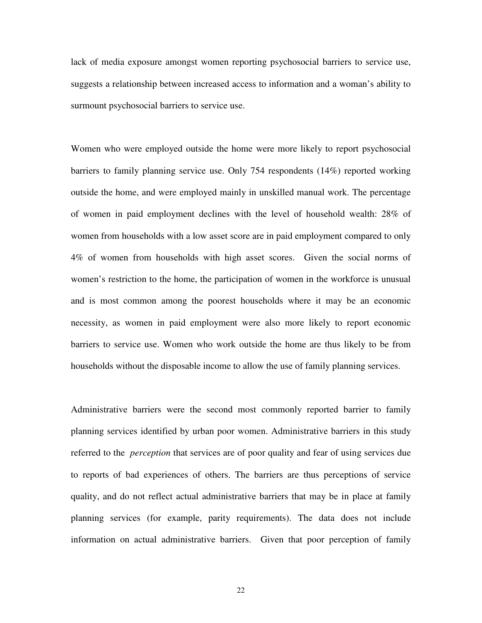lack of media exposure amongst women reporting psychosocial barriers to service use, suggests a relationship between increased access to information and a woman's ability to surmount psychosocial barriers to service use.

Women who were employed outside the home were more likely to report psychosocial barriers to family planning service use. Only 754 respondents (14%) reported working outside the home, and were employed mainly in unskilled manual work. The percentage of women in paid employment declines with the level of household wealth: 28% of women from households with a low asset score are in paid employment compared to only 4% of women from households with high asset scores. Given the social norms of women's restriction to the home, the participation of women in the workforce is unusual and is most common among the poorest households where it may be an economic necessity, as women in paid employment were also more likely to report economic barriers to service use. Women who work outside the home are thus likely to be from households without the disposable income to allow the use of family planning services.

Administrative barriers were the second most commonly reported barrier to family planning services identified by urban poor women. Administrative barriers in this study referred to the *perception* that services are of poor quality and fear of using services due to reports of bad experiences of others. The barriers are thus perceptions of service quality, and do not reflect actual administrative barriers that may be in place at family planning services (for example, parity requirements). The data does not include information on actual administrative barriers. Given that poor perception of family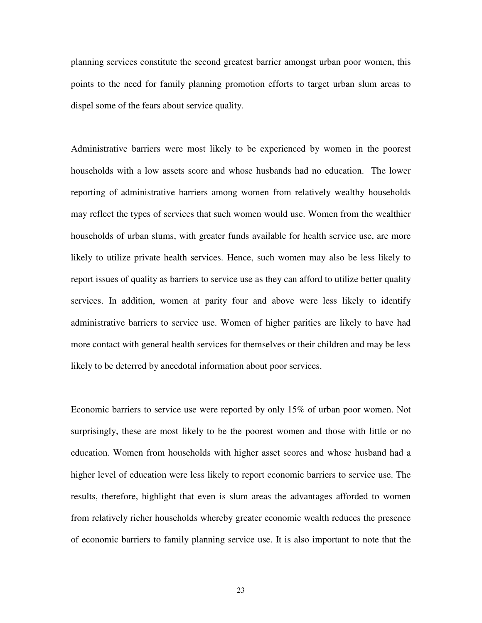planning services constitute the second greatest barrier amongst urban poor women, this points to the need for family planning promotion efforts to target urban slum areas to dispel some of the fears about service quality.

Administrative barriers were most likely to be experienced by women in the poorest households with a low assets score and whose husbands had no education. The lower reporting of administrative barriers among women from relatively wealthy households may reflect the types of services that such women would use. Women from the wealthier households of urban slums, with greater funds available for health service use, are more likely to utilize private health services. Hence, such women may also be less likely to report issues of quality as barriers to service use as they can afford to utilize better quality services. In addition, women at parity four and above were less likely to identify administrative barriers to service use. Women of higher parities are likely to have had more contact with general health services for themselves or their children and may be less likely to be deterred by anecdotal information about poor services.

Economic barriers to service use were reported by only 15% of urban poor women. Not surprisingly, these are most likely to be the poorest women and those with little or no education. Women from households with higher asset scores and whose husband had a higher level of education were less likely to report economic barriers to service use. The results, therefore, highlight that even is slum areas the advantages afforded to women from relatively richer households whereby greater economic wealth reduces the presence of economic barriers to family planning service use. It is also important to note that the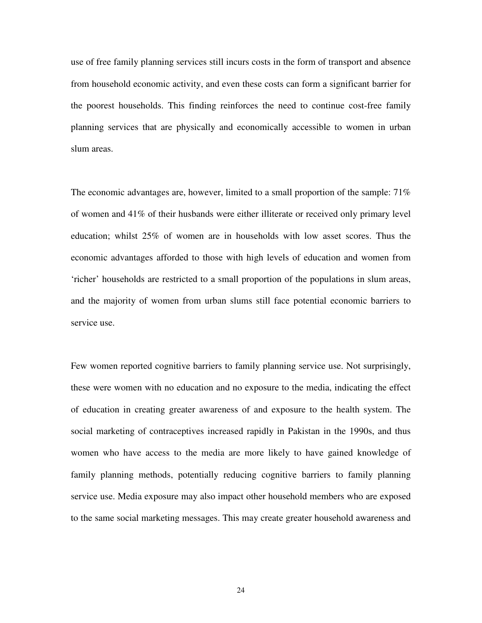use of free family planning services still incurs costs in the form of transport and absence from household economic activity, and even these costs can form a significant barrier for the poorest households. This finding reinforces the need to continue cost-free family planning services that are physically and economically accessible to women in urban slum areas.

The economic advantages are, however, limited to a small proportion of the sample: 71% of women and 41% of their husbands were either illiterate or received only primary level education; whilst 25% of women are in households with low asset scores. Thus the economic advantages afforded to those with high levels of education and women from 'richer' households are restricted to a small proportion of the populations in slum areas, and the majority of women from urban slums still face potential economic barriers to service use.

Few women reported cognitive barriers to family planning service use. Not surprisingly, these were women with no education and no exposure to the media, indicating the effect of education in creating greater awareness of and exposure to the health system. The social marketing of contraceptives increased rapidly in Pakistan in the 1990s, and thus women who have access to the media are more likely to have gained knowledge of family planning methods, potentially reducing cognitive barriers to family planning service use. Media exposure may also impact other household members who are exposed to the same social marketing messages. This may create greater household awareness and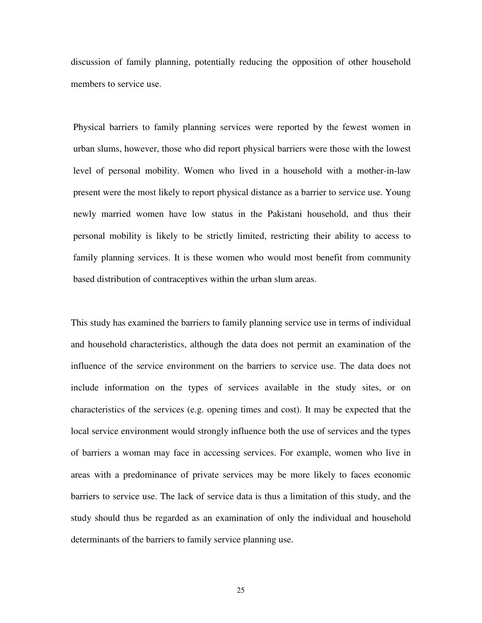discussion of family planning, potentially reducing the opposition of other household members to service use.

Physical barriers to family planning services were reported by the fewest women in urban slums, however, those who did report physical barriers were those with the lowest level of personal mobility. Women who lived in a household with a mother-in-law present were the most likely to report physical distance as a barrier to service use. Young newly married women have low status in the Pakistani household, and thus their personal mobility is likely to be strictly limited, restricting their ability to access to family planning services. It is these women who would most benefit from community based distribution of contraceptives within the urban slum areas.

This study has examined the barriers to family planning service use in terms of individual and household characteristics, although the data does not permit an examination of the influence of the service environment on the barriers to service use. The data does not include information on the types of services available in the study sites, or on characteristics of the services (e.g. opening times and cost). It may be expected that the local service environment would strongly influence both the use of services and the types of barriers a woman may face in accessing services. For example, women who live in areas with a predominance of private services may be more likely to faces economic barriers to service use. The lack of service data is thus a limitation of this study, and the study should thus be regarded as an examination of only the individual and household determinants of the barriers to family service planning use.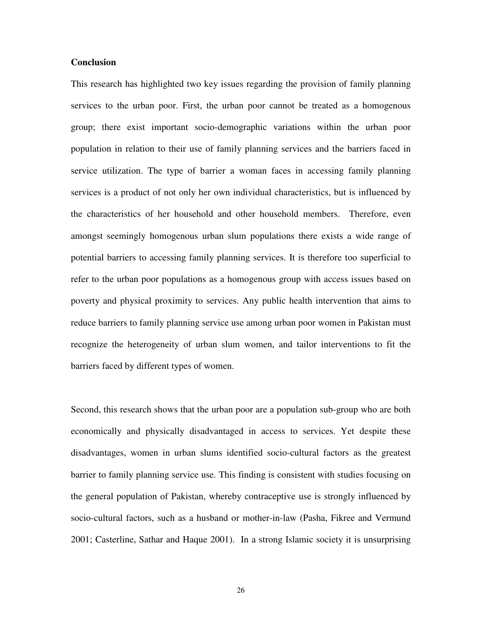#### **Conclusion**

This research has highlighted two key issues regarding the provision of family planning services to the urban poor. First, the urban poor cannot be treated as a homogenous group; there exist important socio-demographic variations within the urban poor population in relation to their use of family planning services and the barriers faced in service utilization. The type of barrier a woman faces in accessing family planning services is a product of not only her own individual characteristics, but is influenced by the characteristics of her household and other household members. Therefore, even amongst seemingly homogenous urban slum populations there exists a wide range of potential barriers to accessing family planning services. It is therefore too superficial to refer to the urban poor populations as a homogenous group with access issues based on poverty and physical proximity to services. Any public health intervention that aims to reduce barriers to family planning service use among urban poor women in Pakistan must recognize the heterogeneity of urban slum women, and tailor interventions to fit the barriers faced by different types of women.

Second, this research shows that the urban poor are a population sub-group who are both economically and physically disadvantaged in access to services. Yet despite these disadvantages, women in urban slums identified socio-cultural factors as the greatest barrier to family planning service use. This finding is consistent with studies focusing on the general population of Pakistan, whereby contraceptive use is strongly influenced by socio-cultural factors, such as a husband or mother-in-law (Pasha, Fikree and Vermund 2001; Casterline, Sathar and Haque 2001). In a strong Islamic society it is unsurprising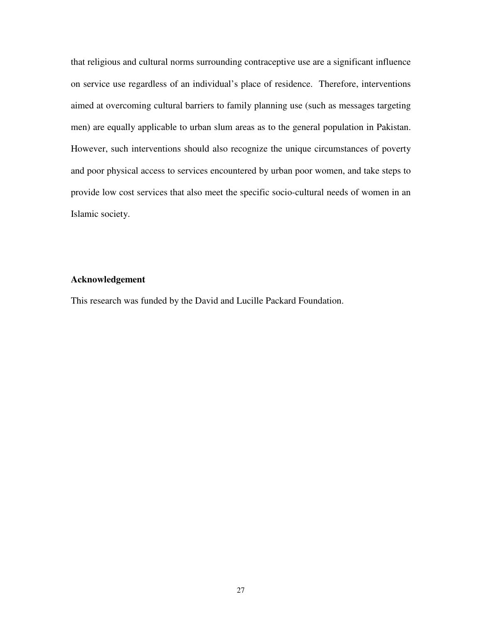that religious and cultural norms surrounding contraceptive use are a significant influence on service use regardless of an individual's place of residence. Therefore, interventions aimed at overcoming cultural barriers to family planning use (such as messages targeting men) are equally applicable to urban slum areas as to the general population in Pakistan. However, such interventions should also recognize the unique circumstances of poverty and poor physical access to services encountered by urban poor women, and take steps to provide low cost services that also meet the specific socio-cultural needs of women in an Islamic society.

## **Acknowledgement**

This research was funded by the David and Lucille Packard Foundation.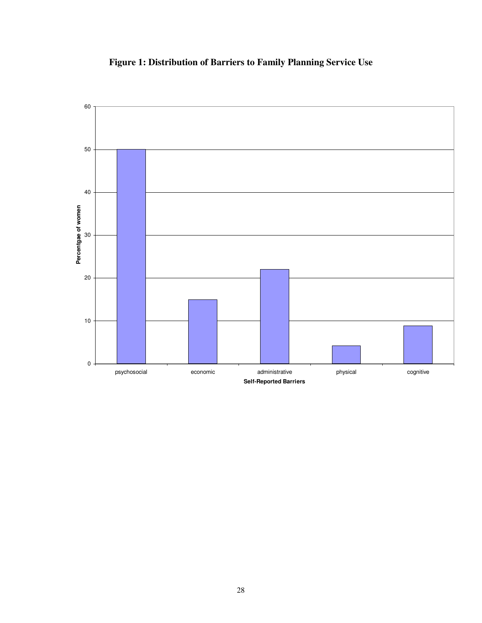

**Figure 1: Distribution of Barriers to Family Planning Service Use**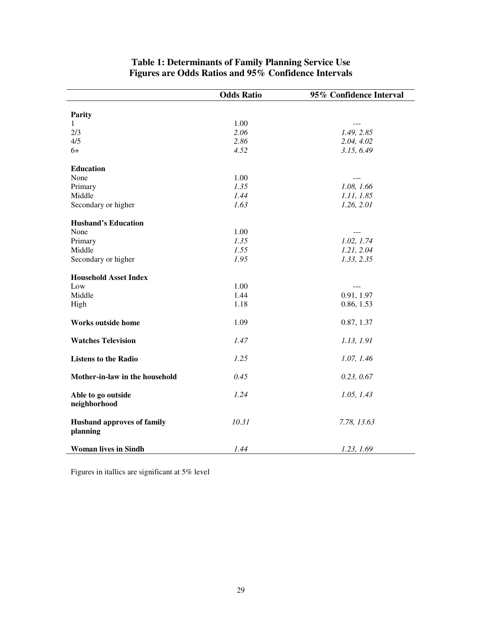|                                               | <b>Odds Ratio</b> | 95% Confidence Interval |  |
|-----------------------------------------------|-------------------|-------------------------|--|
| <b>Parity</b>                                 |                   |                         |  |
| $\mathbf{1}$                                  | 1.00              | $\frac{1}{2}$           |  |
| 2/3                                           | 2.06              | 1.49, 2.85              |  |
| 4/5                                           | 2.86              | 2.04, 4.02              |  |
| $6+$                                          | 4.52              | 3.15, 6.49              |  |
| <b>Education</b>                              |                   |                         |  |
| None                                          | 1.00              | $---$                   |  |
| Primary                                       | 1.35              | 1.08, 1.66              |  |
| Middle                                        | 1.44              | 1.11, 1.85              |  |
| Secondary or higher                           | 1.63              | 1.26, 2.01              |  |
| <b>Husband's Education</b>                    |                   |                         |  |
| None                                          | 1.00              | $---$                   |  |
| Primary                                       | 1.35              | 1.02, 1.74              |  |
| Middle                                        | 1.55              | 1.21, 2.04              |  |
| Secondary or higher                           | 1.95              | 1.33, 2.35              |  |
| <b>Household Asset Index</b>                  |                   |                         |  |
| Low                                           | 1.00              | $\frac{1}{2}$           |  |
| Middle                                        | 1.44              | 0.91, 1.97              |  |
| High                                          | 1.18              | 0.86, 1.53              |  |
| <b>Works outside home</b>                     | 1.09              | 0.87, 1.37              |  |
| <b>Watches Television</b>                     | 1.47              | 1.13, 1.91              |  |
| <b>Listens to the Radio</b>                   | 1.25              | 1.07, 1.46              |  |
| Mother-in-law in the household                | 0.45              | 0.23, 0.67              |  |
| Able to go outside<br>neighborhood            | 1.24              | 1.05, 1.43              |  |
| <b>Husband approves of family</b><br>planning | 10.31             | 7.78, 13.63             |  |
| <b>Woman lives in Sindh</b>                   | 1.44              | 1.23, 1.69              |  |

# **Table 1: Determinants of Family Planning Service Use Figures are Odds Ratios and 95% Confidence Intervals**

Figures in itallics are significant at 5% level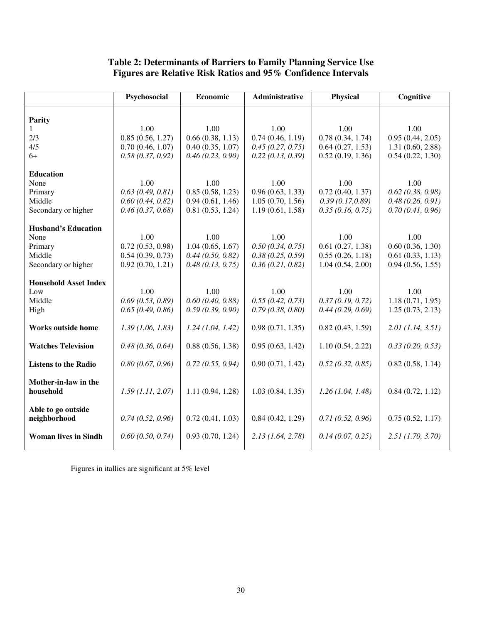# **Table 2: Determinants of Barriers to Family Planning Service Use Figures are Relative Risk Ratios and 95% Confidence Intervals**

|                              | Psychosocial     | Economic         | Administrative   | Physical         | Cognitive           |
|------------------------------|------------------|------------------|------------------|------------------|---------------------|
|                              |                  |                  |                  |                  |                     |
| <b>Parity</b>                |                  |                  |                  |                  |                     |
| 1                            | 1.00             | 1.00             | 1.00             | 1.00             | 1.00                |
| 2/3                          | 0.85(0.56, 1.27) | 0.66(0.38, 1.13) | 0.74(0.46, 1.19) | 0.78(0.34, 1.74) | 0.95(0.44, 2.05)    |
| 4/5                          | 0.70(0.46, 1.07) | 0.40(0.35, 1.07) | 0.45(0.27, 0.75) | 0.64(0.27, 1.53) | 1.31(0.60, 2.88)    |
| $6+$                         | 0.58(0.37, 0.92) | 0.46(0.23, 0.90) | 0.22(0.13, 0.39) | 0.52(0.19, 1.36) | 0.54(0.22, 1.30)    |
| <b>Education</b>             |                  |                  |                  |                  |                     |
| None                         | 1.00             | 1.00             | 1.00             | 1.00             | 1.00                |
| Primary                      | 0.63(0.49, 0.81) | 0.85(0.58, 1.23) | 0.96(0.63, 1.33) | 0.72(0.40, 1.37) | $0.62$ (0.38, 0.98) |
| Middle                       | 0.60(0.44, 0.82) | 0.94(0.61, 1.46) | 1.05(0.70, 1.56) | 0.39(0.17, 0.89) | 0.48(0.26, 0.91)    |
| Secondary or higher          | 0.46(0.37, 0.68) | 0.81(0.53, 1.24) | 1.19(0.61, 1.58) | 0.35(0.16, 0.75) | 0.70(0.41, 0.96)    |
|                              |                  |                  |                  |                  |                     |
| <b>Husband's Education</b>   |                  |                  |                  |                  |                     |
| None                         | 1.00             | 1.00             | 1.00             | 1.00             | 1.00                |
| Primary                      | 0.72(0.53, 0.98) | 1.04(0.65, 1.67) | 0.50(0.34, 0.75) | 0.61(0.27, 1.38) | 0.60(0.36, 1.30)    |
| Middle                       | 0.54(0.39, 0.73) | 0.44(0.50, 0.82) | 0.38(0.25, 0.59) | 0.55(0.26, 1.18) | 0.61(0.33, 1.13)    |
| Secondary or higher          | 0.92(0.70, 1.21) | 0.48(0.13, 0.75) | 0.36(0.21, 0.82) | 1.04(0.54, 2.00) | 0.94(0.56, 1.55)    |
|                              |                  |                  |                  |                  |                     |
| <b>Household Asset Index</b> |                  |                  |                  |                  |                     |
| Low                          | 1.00             | 1.00             | 1.00             | 1.00             | 1.00                |
| Middle                       | 0.69(0.53, 0.89) | 0.60(0.40, 0.88) | 0.55(0.42, 0.73) | 0.37(0.19, 0.72) | 1.18(0.71, 1.95)    |
| High                         | 0.65(0.49, 0.86) | 0.59(0.39, 0.90) | 0.79(0.38, 0.80) | 0.44(0.29, 0.69) | 1.25(0.73, 2.13)    |
|                              |                  |                  |                  |                  |                     |
| <b>Works outside home</b>    | 1.39(1.06, 1.83) | 1.24(1.04, 1.42) | 0.98(0.71, 1.35) | 0.82(0.43, 1.59) | 2.01 (1.14, 3.51)   |
|                              |                  |                  |                  |                  |                     |
| <b>Watches Television</b>    | 0.48(0.36, 0.64) | 0.88(0.56, 1.38) | 0.95(0.63, 1.42) | 1.10(0.54, 2.22) | 0.33(0.20, 0.53)    |
|                              |                  |                  |                  |                  |                     |
| <b>Listens to the Radio</b>  | 0.80(0.67, 0.96) | 0.72(0.55, 0.94) | 0.90(0.71, 1.42) | 0.52(0.32, 0.85) | 0.82(0.58, 1.14)    |
|                              |                  |                  |                  |                  |                     |
| Mother-in-law in the         |                  |                  |                  |                  |                     |
| household                    | 1.59(1.11, 2.07) | 1.11(0.94, 1.28) | 1.03(0.84, 1.35) | 1.26(1.04, 1.48) | 0.84(0.72, 1.12)    |
|                              |                  |                  |                  |                  |                     |
| Able to go outside           |                  |                  |                  |                  |                     |
| neighborhood                 | 0.74(0.52, 0.96) | 0.72(0.41, 1.03) | 0.84(0.42, 1.29) | 0.71(0.52, 0.96) | 0.75(0.52, 1.17)    |
|                              |                  |                  |                  |                  |                     |
| <b>Woman lives in Sindh</b>  | 0.60(0.50, 0.74) | 0.93(0.70, 1.24) | 2.13(1.64, 2.78) | 0.14(0.07, 0.25) | 2.51(1.70, 3.70)    |
|                              |                  |                  |                  |                  |                     |
|                              |                  |                  |                  |                  |                     |

Figures in itallics are significant at 5% level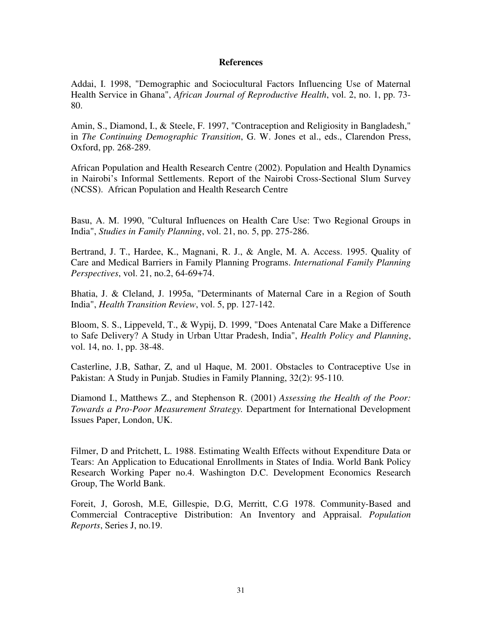## **References**

Addai, I. 1998, "Demographic and Sociocultural Factors Influencing Use of Maternal Health Service in Ghana", *African Journal of Reproductive Health*, vol. 2, no. 1, pp. 73- 80.

Amin, S., Diamond, I., & Steele, F. 1997, "Contraception and Religiosity in Bangladesh," in *The Continuing Demographic Transition*, G. W. Jones et al., eds., Clarendon Press, Oxford, pp. 268-289.

African Population and Health Research Centre (2002). Population and Health Dynamics in Nairobi's Informal Settlements. Report of the Nairobi Cross-Sectional Slum Survey (NCSS). African Population and Health Research Centre

Basu, A. M. 1990, "Cultural Influences on Health Care Use: Two Regional Groups in India", *Studies in Family Planning*, vol. 21, no. 5, pp. 275-286.

Bertrand, J. T., Hardee, K., Magnani, R. J., & Angle, M. A. Access. 1995. Quality of Care and Medical Barriers in Family Planning Programs. *International Family Planning Perspectives*, vol. 21, no.2, 64-69+74.

Bhatia, J. & Cleland, J. 1995a, "Determinants of Maternal Care in a Region of South India", *Health Transition Review*, vol. 5, pp. 127-142.

Bloom, S. S., Lippeveld, T., & Wypij, D. 1999, "Does Antenatal Care Make a Difference to Safe Delivery? A Study in Urban Uttar Pradesh, India", *Health Policy and Planning*, vol. 14, no. 1, pp. 38-48.

Casterline, J.B, Sathar, Z, and ul Haque, M. 2001. Obstacles to Contraceptive Use in Pakistan: A Study in Punjab. Studies in Family Planning, 32(2): 95-110.

Diamond I., Matthews Z., and Stephenson R. (2001) *Assessing the Health of the Poor: Towards a Pro-Poor Measurement Strategy.* Department for International Development Issues Paper, London, UK.

Filmer, D and Pritchett, L. 1988. Estimating Wealth Effects without Expenditure Data or Tears: An Application to Educational Enrollments in States of India. World Bank Policy Research Working Paper no.4. Washington D.C. Development Economics Research Group, The World Bank.

Foreit, J, Gorosh, M.E, Gillespie, D.G, Merritt, C.G 1978. Community-Based and Commercial Contraceptive Distribution: An Inventory and Appraisal. *Population Reports*, Series J, no.19.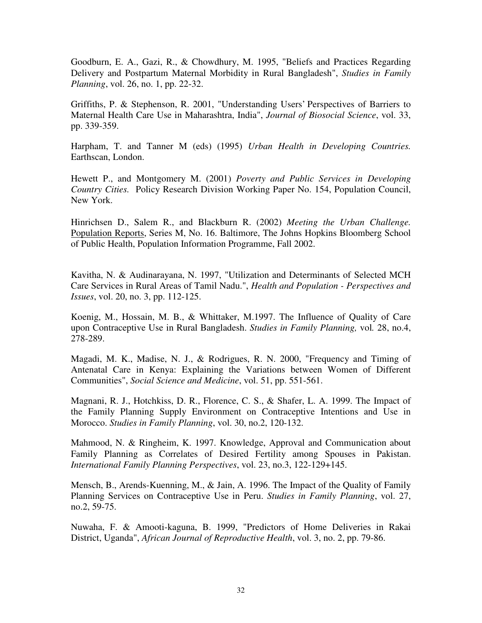Goodburn, E. A., Gazi, R., & Chowdhury, M. 1995, "Beliefs and Practices Regarding Delivery and Postpartum Maternal Morbidity in Rural Bangladesh", *Studies in Family Planning*, vol. 26, no. 1, pp. 22-32.

Griffiths, P. & Stephenson, R. 2001, "Understanding Users' Perspectives of Barriers to Maternal Health Care Use in Maharashtra, India", *Journal of Biosocial Science*, vol. 33, pp. 339-359.

Harpham, T. and Tanner M (eds) (1995) *Urban Health in Developing Countries.* Earthscan, London.

Hewett P., and Montgomery M. (2001) *Poverty and Public Services in Developing Country Cities.* Policy Research Division Working Paper No. 154, Population Council, New York.

Hinrichsen D., Salem R., and Blackburn R. (2002) *Meeting the Urban Challenge.* Population Reports, Series M, No. 16. Baltimore, The Johns Hopkins Bloomberg School of Public Health, Population Information Programme, Fall 2002.

Kavitha, N. & Audinarayana, N. 1997, "Utilization and Determinants of Selected MCH Care Services in Rural Areas of Tamil Nadu.", *Health and Population - Perspectives and Issues*, vol. 20, no. 3, pp. 112-125.

Koenig, M., Hossain, M. B., & Whittaker, M.1997. The Influence of Quality of Care upon Contraceptive Use in Rural Bangladesh. *Studies in Family Planning,* vol*.* 28, no.4, 278-289.

Magadi, M. K., Madise, N. J., & Rodrigues, R. N. 2000, "Frequency and Timing of Antenatal Care in Kenya: Explaining the Variations between Women of Different Communities", *Social Science and Medicine*, vol. 51, pp. 551-561.

Magnani, R. J., Hotchkiss, D. R., Florence, C. S., & Shafer, L. A. 1999. The Impact of the Family Planning Supply Environment on Contraceptive Intentions and Use in Morocco. *Studies in Family Planning*, vol. 30, no.2, 120-132.

Mahmood, N. & Ringheim, K. 1997. Knowledge, Approval and Communication about Family Planning as Correlates of Desired Fertility among Spouses in Pakistan. *International Family Planning Perspectives*, vol. 23, no.3, 122-129+145.

Mensch, B., Arends-Kuenning, M., & Jain, A. 1996. The Impact of the Quality of Family Planning Services on Contraceptive Use in Peru. *Studies in Family Planning*, vol. 27, no.2, 59-75.

Nuwaha, F. & Amooti-kaguna, B. 1999, "Predictors of Home Deliveries in Rakai District, Uganda", *African Journal of Reproductive Health*, vol. 3, no. 2, pp. 79-86.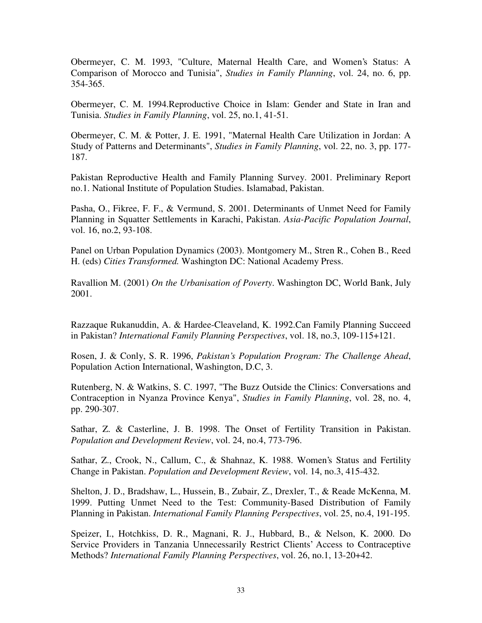Obermeyer, C. M. 1993, "Culture, Maternal Health Care, and Women's Status: A Comparison of Morocco and Tunisia", *Studies in Family Planning*, vol. 24, no. 6, pp. 354-365.

Obermeyer, C. M. 1994.Reproductive Choice in Islam: Gender and State in Iran and Tunisia. *Studies in Family Planning*, vol. 25, no.1, 41-51.

Obermeyer, C. M. & Potter, J. E. 1991, "Maternal Health Care Utilization in Jordan: A Study of Patterns and Determinants", *Studies in Family Planning*, vol. 22, no. 3, pp. 177- 187.

Pakistan Reproductive Health and Family Planning Survey. 2001. Preliminary Report no.1. National Institute of Population Studies. Islamabad, Pakistan.

Pasha, O., Fikree, F. F., & Vermund, S. 2001. Determinants of Unmet Need for Family Planning in Squatter Settlements in Karachi, Pakistan. *Asia-Pacific Population Journal*, vol. 16, no.2, 93-108.

Panel on Urban Population Dynamics (2003). Montgomery M., Stren R., Cohen B., Reed H. (eds) *Cities Transformed.* Washington DC: National Academy Press.

Ravallion M. (2001) *On the Urbanisation of Poverty*. Washington DC, World Bank, July 2001.

Razzaque Rukanuddin, A. & Hardee-Cleaveland, K. 1992.Can Family Planning Succeed in Pakistan? *International Family Planning Perspectives*, vol. 18, no.3, 109-115+121.

Rosen, J. & Conly, S. R. 1996, *Pakistan's Population Program: The Challenge Ahead*, Population Action International, Washington, D.C, 3.

Rutenberg, N. & Watkins, S. C. 1997, "The Buzz Outside the Clinics: Conversations and Contraception in Nyanza Province Kenya", *Studies in Family Planning*, vol. 28, no. 4, pp. 290-307.

Sathar, Z. & Casterline, J. B. 1998. The Onset of Fertility Transition in Pakistan. *Population and Development Review*, vol. 24, no.4, 773-796.

Sathar, Z., Crook, N., Callum, C., & Shahnaz, K. 1988. Women's Status and Fertility Change in Pakistan. *Population and Development Review*, vol. 14, no.3, 415-432.

Shelton, J. D., Bradshaw, L., Hussein, B., Zubair, Z., Drexler, T., & Reade McKenna, M. 1999. Putting Unmet Need to the Test: Community-Based Distribution of Family Planning in Pakistan. *International Family Planning Perspectives*, vol. 25, no.4, 191-195.

Speizer, I., Hotchkiss, D. R., Magnani, R. J., Hubbard, B., & Nelson, K. 2000. Do Service Providers in Tanzania Unnecessarily Restrict Clients' Access to Contraceptive Methods? *International Family Planning Perspectives*, vol. 26, no.1, 13-20+42.